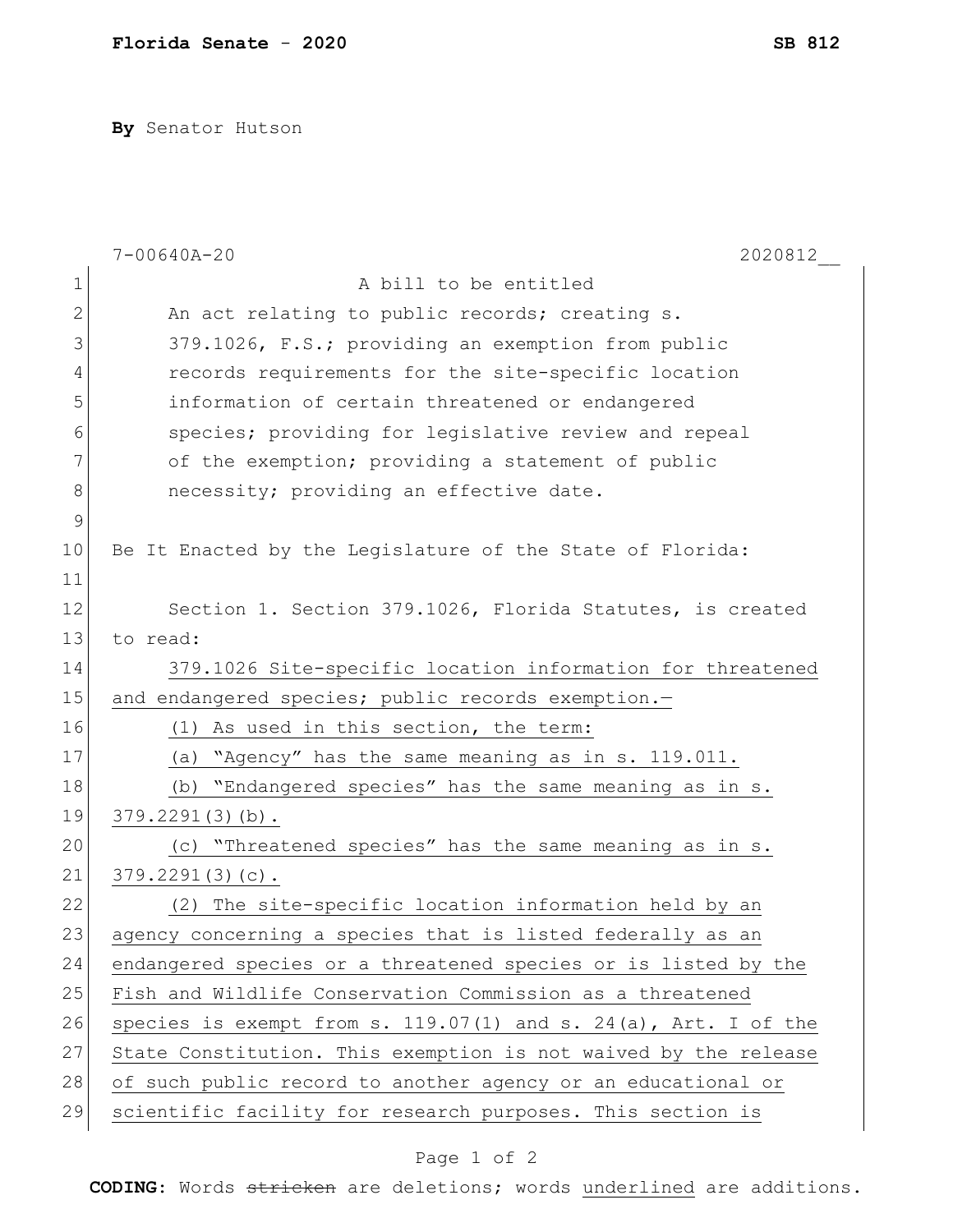**By** Senator Hutson

|             | $7 - 00640A - 20$<br>2020812                                    |
|-------------|-----------------------------------------------------------------|
| $\mathbf 1$ | A bill to be entitled                                           |
| 2           | An act relating to public records; creating s.                  |
| 3           | 379.1026, F.S.; providing an exemption from public              |
| 4           | records requirements for the site-specific location             |
| 5           | information of certain threatened or endangered                 |
| 6           | species; providing for legislative review and repeal            |
| 7           | of the exemption; providing a statement of public               |
| 8           | necessity; providing an effective date.                         |
| $\mathsf 9$ |                                                                 |
| 10          | Be It Enacted by the Legislature of the State of Florida:       |
| 11          |                                                                 |
| 12          | Section 1. Section 379.1026, Florida Statutes, is created       |
| 13          | to read:                                                        |
| 14          | 379.1026 Site-specific location information for threatened      |
| 15          | and endangered species; public records exemption.-              |
| 16          | As used in this section, the term:<br>(1)                       |
| 17          | (a) "Agency" has the same meaning as in s. 119.011.             |
| 18          | "Endangered species" has the same meaning as in s.<br>(b)       |
| 19          | $379.2291(3)(b)$ .                                              |
| 20          | "Threatened species" has the same meaning as in s.<br>(C)       |
| 21          | $379.2291(3)(c)$ .                                              |
| 22          | (2) The site-specific location information held by an           |
| 23          | agency concerning a species that is listed federally as an      |
| 24          | endangered species or a threatened species or is listed by the  |
| 25          | Fish and Wildlife Conservation Commission as a threatened       |
| 26          | species is exempt from s. 119.07(1) and s. 24(a), Art. I of the |
| 27          | State Constitution. This exemption is not waived by the release |
| 28          | of such public record to another agency or an educational or    |
| 29          | scientific facility for research purposes. This section is      |

## Page 1 of 2

**CODING**: Words stricken are deletions; words underlined are additions.